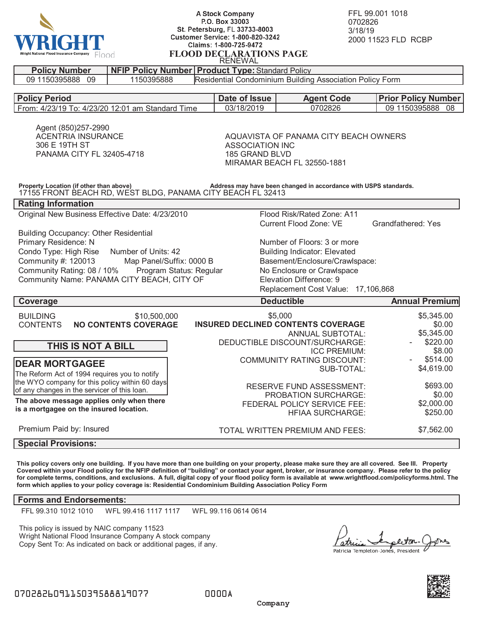

**A Stock Company** P.O. Box 33003 St. Petersburg, FL 33733-8003 **Customer Service: 1-800-820-3242** Claims: 1-800-725-9472 **FLOOD DECLARATIONS PAGE** RENEWAL

FFL 99.001 1018 0702826 3/18/19 2000 11523 FLD RCBP

| <b>REINEWAL</b>                                                                                                                                                            |                             |               |                                                                                                                  |                            |  |
|----------------------------------------------------------------------------------------------------------------------------------------------------------------------------|-----------------------------|---------------|------------------------------------------------------------------------------------------------------------------|----------------------------|--|
| <b>Policy Number</b><br><b>NFIP Policy Number   Product Type: Standard Policy</b>                                                                                          |                             |               |                                                                                                                  |                            |  |
| 09 1150395888 09<br>Residential Condominium Building Association Policy Form<br>1150395888                                                                                 |                             |               |                                                                                                                  |                            |  |
|                                                                                                                                                                            |                             |               |                                                                                                                  |                            |  |
| <b>Policy Period</b>                                                                                                                                                       |                             | Date of Issue | <b>Agent Code</b>                                                                                                | <b>Prior Policy Number</b> |  |
| From: 4/23/19 To: 4/23/20 12:01 am Standard Time                                                                                                                           |                             | 03/18/2019    | 0702826                                                                                                          | 09 1150395888<br>08        |  |
| Agent (850)257-2990<br><b>ACENTRIA INSURANCE</b><br>306 E 19TH ST<br>PANAMA CITY FL 32405-4718                                                                             |                             |               | AQUAVISTA OF PANAMA CITY BEACH OWNERS<br><b>ASSOCIATION INC</b><br>185 GRAND BLVD<br>MIRAMAR BEACH FL 32550-1881 |                            |  |
| Address may have been changed in accordance with USPS standards.<br>Property Location (if other than above)<br>17155 FRONT BEACH RD, WEST BLDG, PANAMA CITY BEACH FL 32413 |                             |               |                                                                                                                  |                            |  |
| <b>Rating Information</b>                                                                                                                                                  |                             |               |                                                                                                                  |                            |  |
| Original New Business Effective Date: 4/23/2010                                                                                                                            |                             |               | Flood Risk/Rated Zone: A11<br>Current Flood Zone: VE                                                             | Grandfathered: Yes         |  |
| <b>Building Occupancy: Other Residential</b>                                                                                                                               |                             |               |                                                                                                                  |                            |  |
| Primary Residence: N                                                                                                                                                       |                             |               | Number of Floors: 3 or more                                                                                      |                            |  |
| Condo Type: High Rise<br>Number of Units: 42                                                                                                                               |                             |               | <b>Building Indicator: Elevated</b>                                                                              |                            |  |
| Community #: 120013                                                                                                                                                        | Map Panel/Suffix: 0000 B    |               | Basement/Enclosure/Crawlspace:                                                                                   |                            |  |
| Community Rating: 08 / 10%                                                                                                                                                 | Program Status: Regular     |               | No Enclosure or Crawlspace                                                                                       |                            |  |
| Community Name: PANAMA CITY BEACH, CITY OF                                                                                                                                 |                             |               | Elevation Difference: 9                                                                                          |                            |  |
| Replacement Cost Value: 17,106,868                                                                                                                                         |                             |               |                                                                                                                  |                            |  |
| Coverage                                                                                                                                                                   |                             |               | <b>Deductible</b>                                                                                                | <b>Annual Premium</b>      |  |
| <b>BUILDING</b>                                                                                                                                                            | \$10,500,000                |               | \$5,000                                                                                                          | \$5,345.00                 |  |
| <b>CONTENTS</b>                                                                                                                                                            | <b>NO CONTENTS COVERAGE</b> |               | <b>INSURED DECLINED CONTENTS COVERAGE</b>                                                                        | \$0.00                     |  |
|                                                                                                                                                                            |                             |               | <b>ANNUAL SUBTOTAL:</b>                                                                                          | \$5,345.00                 |  |
|                                                                                                                                                                            |                             |               | DEDUCTIBLE DISCOUNT/SURCHARGE:                                                                                   | \$220.00                   |  |
| THIS IS NOT A BILL                                                                                                                                                         |                             |               | <b>ICC PREMIUM:</b>                                                                                              | \$8.00                     |  |
|                                                                                                                                                                            |                             |               | <b>COMMUNITY RATING DISCOUNT:</b>                                                                                | \$514.00                   |  |
| <b>DEAR MORTGAGEE</b>                                                                                                                                                      |                             |               | \$4,619.00<br>SUB-TOTAL:                                                                                         |                            |  |
| The Reform Act of 1994 requires you to notify                                                                                                                              |                             |               |                                                                                                                  |                            |  |
| the WYO company for this policy within 60 days                                                                                                                             |                             |               | <b>RESERVE FUND ASSESSMENT:</b>                                                                                  | \$693.00                   |  |
| of any changes in the servicer of this loan.<br>The above message applies only when there                                                                                  |                             |               | PROBATION SURCHARGE:                                                                                             | \$0.00                     |  |
|                                                                                                                                                                            |                             |               | \$2,000.00<br>FEDERAL POLICY SERVICE FEE:                                                                        |                            |  |
| is a mortgagee on the insured location.                                                                                                                                    |                             |               | <b>HFIAA SURCHARGE:</b>                                                                                          | \$250.00                   |  |
| Premium Paid by: Insured                                                                                                                                                   |                             |               | TOTAL WRITTEN PREMIUM AND FEES:                                                                                  | \$7,562.00                 |  |
| <b>Special Provisions:</b>                                                                                                                                                 |                             |               |                                                                                                                  |                            |  |

**This policy covers only one building. If you have more than one building on your property, please make sure they are all covered. See III. Property Covered within your Flood policy for the NFIP definition of "building" or contact your agent, broker, or insurance company. Please refer to the policy for complete terms, conditions, and exclusions. A full, digital copy of your flood policy form is available at www.wrightflood.com/policyforms.html. The form which applies to your policy coverage is: Residential Condominium Building Association Policy Form**

## **Forms and Endorsements:**

FFL 99.310 1012 1010 WFL 99.416 1117 1117 WFL 99.116 0614 0614

This policy is issued by NAIC company 11523 Wright National Flood Insurance Company A stock company Copy Sent To: As indicated on back or additional pages, if any.

otre Patricia Templeton-Jones, President



0000A

 **Company**